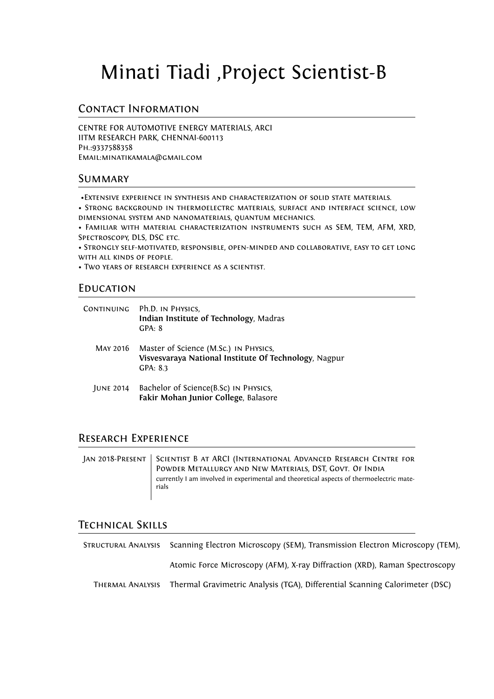# Minati Tiadi ,Project Scientist-B

### Contact Information

CENTRE FOR AUTOMOTIVE ENERGY MATERIALS, ARCI IITM RESEARCH PARK, CHENNAI-600113 Ph.:9337588358 Email:minatikamala@gmail.com

#### **SUMMARY**

•Extensive experience in synthesis and characterization of solid state materials.

• Strong background in thermoelectrc materials, surface and interface science, low dimensional system and nanomaterials, quantum mechanics.

• Familiar with material characterization instruments such as SEM, TEM, AFM, XRD, SPECTROSCOPY, DLS, DSC ETC.

• Strongly self-motivated, responsible, open-minded and collaborative, easy to get long with all kinds of people.

• Two years of research experience as a scientist.

#### **EDUCATION**

| CONTINUING       | Ph.D. IN PHYSICS,<br>Indian Institute of Technology, Madras<br>GPA: 8                                      |
|------------------|------------------------------------------------------------------------------------------------------------|
| MAY 2016         | Master of Science (M.Sc.) IN PHYSICS,<br>Visvesvaraya National Institute Of Technology, Nagpur<br>GPA: 8.3 |
| <b>JUNE 2014</b> | Bachelor of Science(B.Sc) IN PHYSICS,<br>Fakir Mohan Junior College, Balasore                              |

#### Research Experience

| JAN 2018-PRESENT   SCIENTIST B AT ARCI (INTERNATIONAL ADVANCED RESEARCH CENTRE FOR<br>POWDER METALLURGY AND NEW MATERIALS, DST, GOVT. OF INDIA |
|------------------------------------------------------------------------------------------------------------------------------------------------|
| currently I am involved in experimental and theoretical aspects of thermoelectric mate-<br>rials                                               |

## Technical Skills

Structural Analysis Scanning Electron Microscopy (SEM), Transmission Electron Microscopy (TEM), Atomic Force Microscopy (AFM), X-ray Diffraction (XRD), Raman Spectroscopy Thermal Analysis Thermal Gravimetric Analysis (TGA), Differential Scanning Calorimeter (DSC)